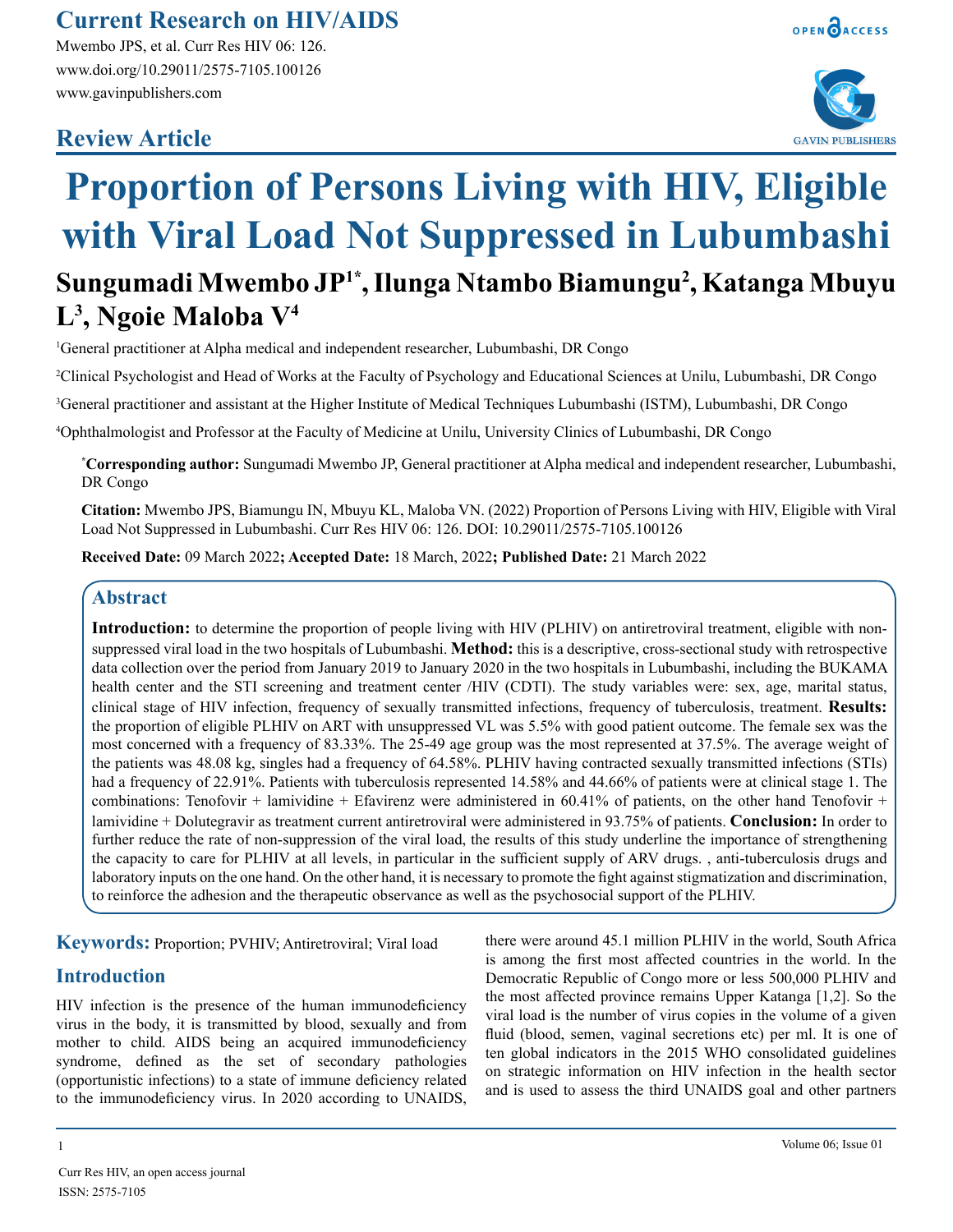## **Current Research on HIV/AIDS**

Mwembo JPS, et al. Curr Res HIV 06: 126. www.doi.org/10.29011/2575-7105.100126 www.gavinpublishers.com

## **Review Article**





# **Proportion of Persons Living with HIV, Eligible with Viral Load Not Suppressed in Lubumbashi**

# **Sungumadi Mwembo JP1\*, Ilunga Ntambo Biamungu2 , Katanga Mbuyu L3 , Ngoie Maloba V4**

1 General practitioner at Alpha medical and independent researcher, Lubumbashi, DR Congo

2 Clinical Psychologist and Head of Works at the Faculty of Psychology and Educational Sciences at Unilu, Lubumbashi, DR Congo

3 General practitioner and assistant at the Higher Institute of Medical Techniques Lubumbashi (ISTM), Lubumbashi, DR Congo

4 Ophthalmologist and Professor at the Faculty of Medicine at Unilu, University Clinics of Lubumbashi, DR Congo

**\* Corresponding author:** Sungumadi Mwembo JP, General practitioner at Alpha medical and independent researcher, Lubumbashi, DR Congo

**Citation:** Mwembo JPS, Biamungu IN, Mbuyu KL, Maloba VN. (2022) Proportion of Persons Living with HIV, Eligible with Viral Load Not Suppressed in Lubumbashi. Curr Res HIV 06: 126. DOI: 10.29011/2575-7105.100126

**Received Date:** 09 March 2022**; Accepted Date:** 18 March, 2022**; Published Date:** 21 March 2022

### **Abstract**

**Introduction:** to determine the proportion of people living with HIV (PLHIV) on antiretroviral treatment, eligible with nonsuppressed viral load in the two hospitals of Lubumbashi. **Method:** this is a descriptive, cross-sectional study with retrospective data collection over the period from January 2019 to January 2020 in the two hospitals in Lubumbashi, including the BUKAMA health center and the STI screening and treatment center /HIV (CDTI). The study variables were: sex, age, marital status, clinical stage of HIV infection, frequency of sexually transmitted infections, frequency of tuberculosis, treatment. **Results:** the proportion of eligible PLHIV on ART with unsuppressed VL was 5.5% with good patient outcome. The female sex was the most concerned with a frequency of 83.33%. The 25-49 age group was the most represented at 37.5%. The average weight of the patients was 48.08 kg, singles had a frequency of 64.58%. PLHIV having contracted sexually transmitted infections (STIs) had a frequency of 22.91%. Patients with tuberculosis represented 14.58% and 44.66% of patients were at clinical stage 1. The combinations: Tenofovir + lamividine + Efavirenz were administered in  $60.41\%$  of patients, on the other hand Tenofovir + lamividine + Dolutegravir as treatment current antiretroviral were administered in 93.75% of patients. **Conclusion:** In order to further reduce the rate of non-suppression of the viral load, the results of this study underline the importance of strengthening the capacity to care for PLHIV at all levels, in particular in the sufficient supply of ARV drugs. , anti-tuberculosis drugs and laboratory inputs on the one hand. On the other hand, it is necessary to promote the fight against stigmatization and discrimination, to reinforce the adhesion and the therapeutic observance as well as the psychosocial support of the PLHIV.

**Keywords:** Proportion; PVHIV; Antiretroviral; Viral load

## **Introduction**

HIV infection is the presence of the human immunodeficiency virus in the body, it is transmitted by blood, sexually and from mother to child. AIDS being an acquired immunodeficiency syndrome, defined as the set of secondary pathologies (opportunistic infections) to a state of immune deficiency related to the immunodeficiency virus. In 2020 according to UNAIDS, there were around 45.1 million PLHIV in the world, South Africa is among the first most affected countries in the world. In the Democratic Republic of Congo more or less 500,000 PLHIV and the most affected province remains Upper Katanga [1,2]. So the viral load is the number of virus copies in the volume of a given fluid (blood, semen, vaginal secretions etc) per ml. It is one of ten global indicators in the 2015 WHO consolidated guidelines on strategic information on HIV infection in the health sector and is used to assess the third UNAIDS goal and other partners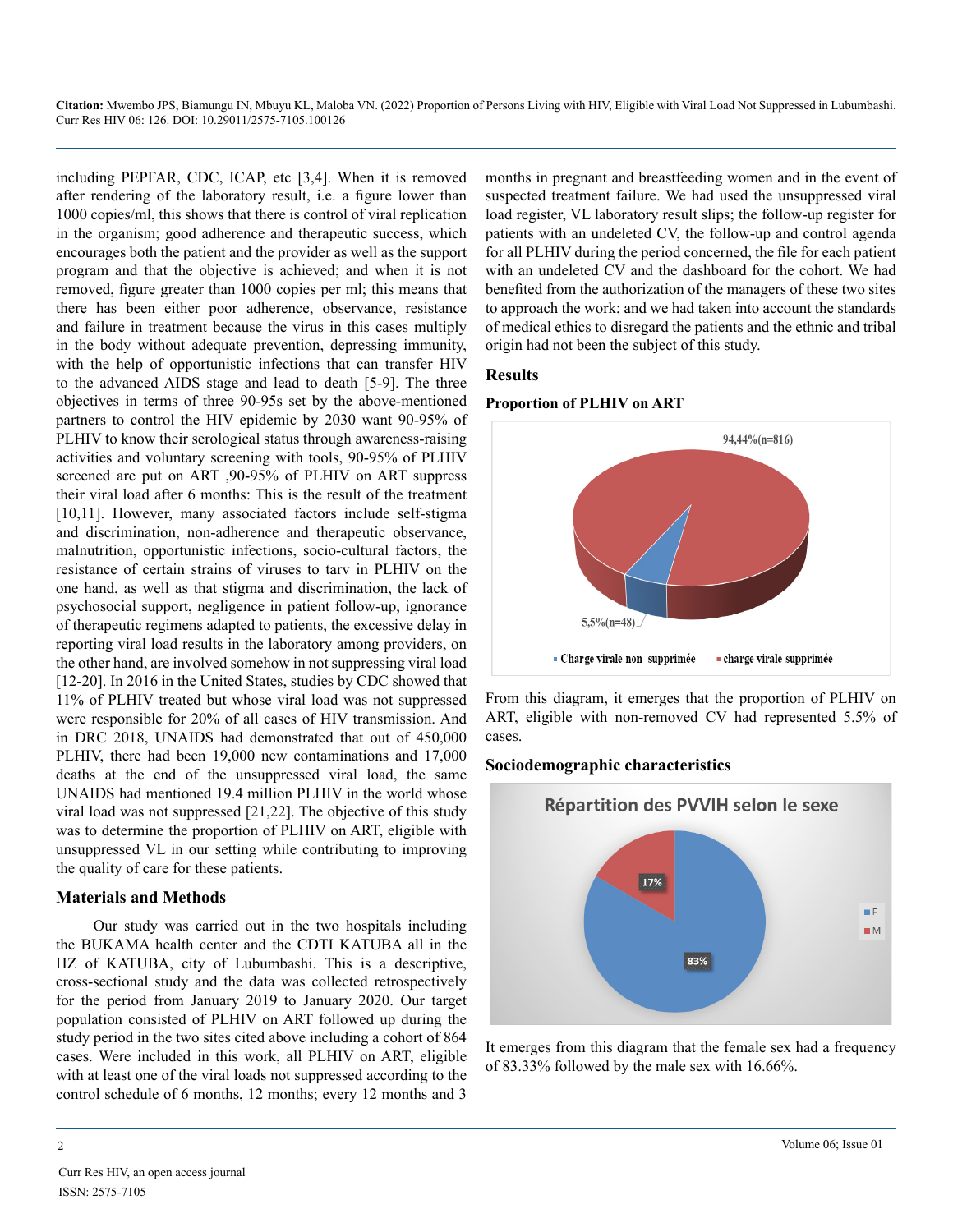including PEPFAR, CDC, ICAP, etc [3,4]. When it is removed after rendering of the laboratory result, i.e. a figure lower than 1000 copies/ml, this shows that there is control of viral replication in the organism; good adherence and therapeutic success, which encourages both the patient and the provider as well as the support program and that the objective is achieved; and when it is not removed, figure greater than 1000 copies per ml; this means that there has been either poor adherence, observance, resistance and failure in treatment because the virus in this cases multiply in the body without adequate prevention, depressing immunity, with the help of opportunistic infections that can transfer HIV to the advanced AIDS stage and lead to death [5-9]. The three objectives in terms of three 90-95s set by the above-mentioned partners to control the HIV epidemic by 2030 want 90-95% of PLHIV to know their serological status through awareness-raising activities and voluntary screening with tools, 90-95% of PLHIV screened are put on ART ,90-95% of PLHIV on ART suppress their viral load after 6 months: This is the result of the treatment [10,11]. However, many associated factors include self-stigma and discrimination, non-adherence and therapeutic observance, malnutrition, opportunistic infections, socio-cultural factors, the resistance of certain strains of viruses to tarv in PLHIV on the one hand, as well as that stigma and discrimination, the lack of psychosocial support, negligence in patient follow-up, ignorance of therapeutic regimens adapted to patients, the excessive delay in reporting viral load results in the laboratory among providers, on the other hand, are involved somehow in not suppressing viral load [12-20]. In 2016 in the United States, studies by CDC showed that 11% of PLHIV treated but whose viral load was not suppressed were responsible for 20% of all cases of HIV transmission. And in DRC 2018, UNAIDS had demonstrated that out of 450,000 PLHIV, there had been 19,000 new contaminations and 17,000 deaths at the end of the unsuppressed viral load, the same UNAIDS had mentioned 19.4 million PLHIV in the world whose viral load was not suppressed [21,22]. The objective of this study was to determine the proportion of PLHIV on ART, eligible with unsuppressed VL in our setting while contributing to improving the quality of care for these patients.

#### **Materials and Methods**

Our study was carried out in the two hospitals including the BUKAMA health center and the CDTI KATUBA all in the HZ of KATUBA, city of Lubumbashi. This is a descriptive, cross-sectional study and the data was collected retrospectively for the period from January 2019 to January 2020. Our target population consisted of PLHIV on ART followed up during the study period in the two sites cited above including a cohort of 864 cases. Were included in this work, all PLHIV on ART, eligible with at least one of the viral loads not suppressed according to the control schedule of 6 months, 12 months; every 12 months and 3

months in pregnant and breastfeeding women and in the event of suspected treatment failure. We had used the unsuppressed viral load register, VL laboratory result slips; the follow-up register for patients with an undeleted CV, the follow-up and control agenda for all PLHIV during the period concerned, the file for each patient with an undeleted CV and the dashboard for the cohort. We had benefited from the authorization of the managers of these two sites to approach the work; and we had taken into account the standards of medical ethics to disregard the patients and the ethnic and tribal origin had not been the subject of this study.

#### **Results**

#### **Proportion of PLHIV on ART**



From this diagram, it emerges that the proportion of PLHIV on ART, eligible with non-removed CV had represented 5.5% of cases.

#### **Sociodemographic characteristics**



It emerges from this diagram that the female sex had a frequency of 83.33% followed by the male sex with 16.66%.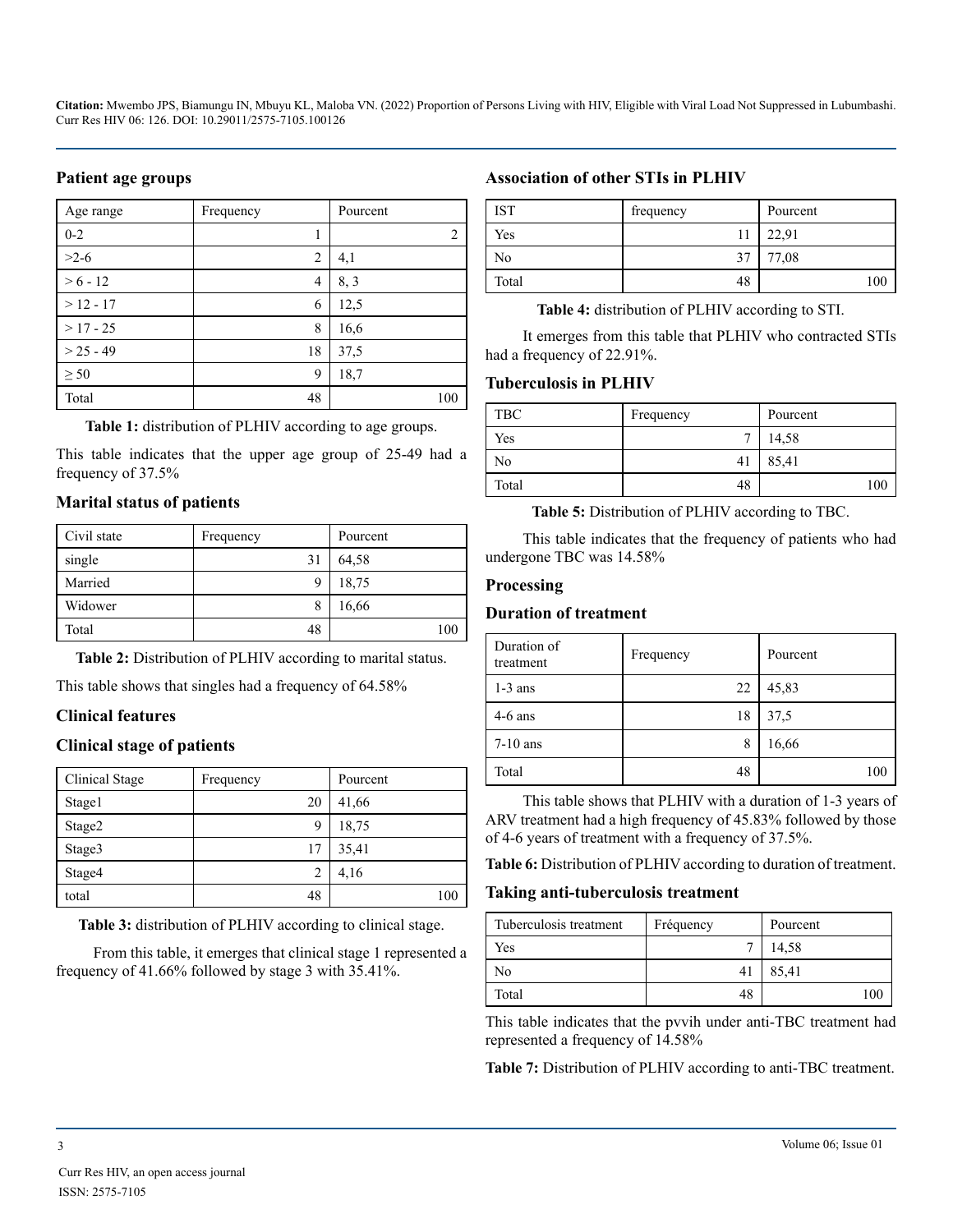#### **Patient age groups**

| Age range   | Frequency | Pourcent |
|-------------|-----------|----------|
| $0 - 2$     |           | 2        |
| $>2-6$      | 2         | 4,1      |
| $> 6 - 12$  | 4         | 8, 3     |
| $>12 - 17$  | 6         | 12,5     |
| $>17 - 25$  | 8         | 16,6     |
| $> 25 - 49$ | 18        | 37,5     |
| $\geq 50$   | 9         | 18,7     |
| Total       | 48        | 100      |

**Table 1:** distribution of PLHIV according to age groups.

This table indicates that the upper age group of 25-49 had a frequency of 37.5%

#### **Marital status of patients**

| Civil state | Frequency | Pourcent |
|-------------|-----------|----------|
| single      | 31        | 64,58    |
| Married     |           | 18,75    |
| Widower     |           | 16,66    |
| Total       | 48        | 100      |

**Table 2:** Distribution of PLHIV according to marital status.

This table shows that singles had a frequency of 64.58%

#### **Clinical features**

#### **Clinical stage of patients**

| Clinical Stage | Frequency      | Pourcent |
|----------------|----------------|----------|
| Stage1         | 20             | 41,66    |
| Stage2         | 9              | 18,75    |
| Stage3         | 17             | 35,41    |
| Stage4         | $\overline{c}$ | 4,16     |
| total          | 48             | 100      |

**Table 3:** distribution of PLHIV according to clinical stage.

From this table, it emerges that clinical stage 1 represented a frequency of 41.66% followed by stage 3 with 35.41%.

#### **Association of other STIs in PLHIV**

| <b>IST</b> | frequency | Pourcent |
|------------|-----------|----------|
| Yes        |           | 22,91    |
| No         | 37        | 77,08    |
| Total      | 48        | 100      |

**Table 4:** distribution of PLHIV according to STI.

It emerges from this table that PLHIV who contracted STIs had a frequency of 22.91%.

#### **Tuberculosis in PLHIV**

| TBC   | Frequency      | Pourcent |
|-------|----------------|----------|
| Yes   |                | 14,58    |
| No    | $\overline{4}$ | 85,41    |
| Total | 48             | 10C      |

**Table 5:** Distribution of PLHIV according to TBC.

This table indicates that the frequency of patients who had undergone TBC was 14.58%

#### **Processing**

#### **Duration of treatment**

| Duration of<br>treatment | Frequency | Pourcent |
|--------------------------|-----------|----------|
| $1-3$ ans                | 22        | 45,83    |
| $4-6$ ans                | 18        | 37,5     |
| $7-10$ ans               | 8         | 16,66    |
| Total                    | 48        | 100      |

This table shows that PLHIV with a duration of 1-3 years of ARV treatment had a high frequency of 45.83% followed by those of 4-6 years of treatment with a frequency of 37.5%.

**Table 6:** Distribution of PLHIV according to duration of treatment.

#### **Taking anti-tuberculosis treatment**

| Tuberculosis treatment | Fréquency | Pourcent |
|------------------------|-----------|----------|
| Yes                    |           | 14,58    |
| No                     |           | 85,41    |
| Total                  | 48        |          |

This table indicates that the pvvih under anti-TBC treatment had represented a frequency of 14.58%

**Table 7:** Distribution of PLHIV according to anti-TBC treatment.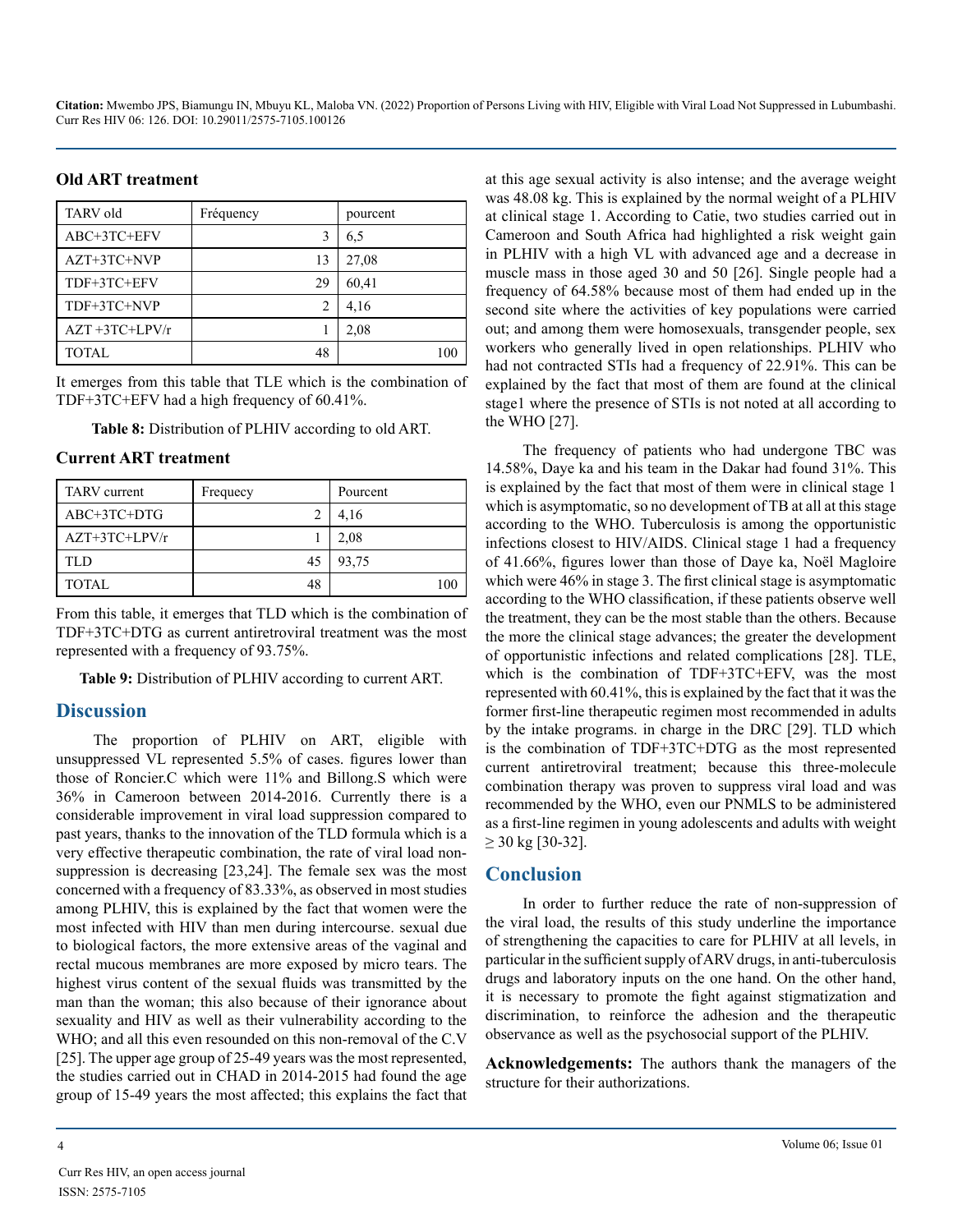#### **Old ART treatment**

| <b>TARV</b> old     | Fréquency | pourcent |
|---------------------|-----------|----------|
| ABC+3TC+EFV         |           | 6.5      |
| $AZT+3TC+NVP$       | 13        | 27,08    |
| TDF+3TC+EFV         | 29        | 60,41    |
| TDF+3TC+NVP         |           | 4,16     |
| $AZT + 3TC + LPV/r$ |           | 2,08     |
| TOTAL               | 48        |          |

It emerges from this table that TLE which is the combination of TDF+3TC+EFV had a high frequency of 60.41%.

**Table 8:** Distribution of PLHIV according to old ART.

#### **Current ART treatment**

| <b>TARV</b> current | Frequecy | Pourcent |
|---------------------|----------|----------|
| ABC+3TC+DTG         |          | 4,16     |
| $AZT+3TC+LPV/r$     |          | 2,08     |
| TI D                | 45       | 93,75    |
| <b>TOTAL</b>        |          |          |

From this table, it emerges that TLD which is the combination of TDF+3TC+DTG as current antiretroviral treatment was the most represented with a frequency of 93.75%.

**Table 9:** Distribution of PLHIV according to current ART.

#### **Discussion**

The proportion of PLHIV on ART, eligible with unsuppressed VL represented 5.5% of cases. figures lower than those of Roncier.C which were 11% and Billong.S which were 36% in Cameroon between 2014-2016. Currently there is a considerable improvement in viral load suppression compared to past years, thanks to the innovation of the TLD formula which is a very effective therapeutic combination, the rate of viral load nonsuppression is decreasing [23,24]. The female sex was the most concerned with a frequency of 83.33%, as observed in most studies among PLHIV, this is explained by the fact that women were the most infected with HIV than men during intercourse. sexual due to biological factors, the more extensive areas of the vaginal and rectal mucous membranes are more exposed by micro tears. The highest virus content of the sexual fluids was transmitted by the man than the woman; this also because of their ignorance about sexuality and HIV as well as their vulnerability according to the WHO; and all this even resounded on this non-removal of the C.V [25]. The upper age group of 25-49 years was the most represented, the studies carried out in CHAD in 2014-2015 had found the age group of 15-49 years the most affected; this explains the fact that

at this age sexual activity is also intense; and the average weight was 48.08 kg. This is explained by the normal weight of a PLHIV at clinical stage 1. According to Catie, two studies carried out in Cameroon and South Africa had highlighted a risk weight gain in PLHIV with a high VL with advanced age and a decrease in muscle mass in those aged 30 and 50 [26]. Single people had a frequency of 64.58% because most of them had ended up in the second site where the activities of key populations were carried out; and among them were homosexuals, transgender people, sex workers who generally lived in open relationships. PLHIV who had not contracted STIs had a frequency of 22.91%. This can be explained by the fact that most of them are found at the clinical stage1 where the presence of STIs is not noted at all according to the WHO [27].

The frequency of patients who had undergone TBC was 14.58%, Daye ka and his team in the Dakar had found 31%. This is explained by the fact that most of them were in clinical stage 1 which is asymptomatic, so no development of TB at all at this stage according to the WHO. Tuberculosis is among the opportunistic infections closest to HIV/AIDS. Clinical stage 1 had a frequency of 41.66%, figures lower than those of Daye ka, Noël Magloire which were 46% in stage 3. The first clinical stage is asymptomatic according to the WHO classification, if these patients observe well the treatment, they can be the most stable than the others. Because the more the clinical stage advances; the greater the development of opportunistic infections and related complications [28]. TLE, which is the combination of TDF+3TC+EFV, was the most represented with 60.41%, this is explained by the fact that it was the former first-line therapeutic regimen most recommended in adults by the intake programs. in charge in the DRC [29]. TLD which is the combination of TDF+3TC+DTG as the most represented current antiretroviral treatment; because this three-molecule combination therapy was proven to suppress viral load and was recommended by the WHO, even our PNMLS to be administered as a first-line regimen in young adolescents and adults with weight  $\geq$  30 kg [30-32].

#### **Conclusion**

In order to further reduce the rate of non-suppression of the viral load, the results of this study underline the importance of strengthening the capacities to care for PLHIV at all levels, in particular in the sufficient supply of ARV drugs, in anti-tuberculosis drugs and laboratory inputs on the one hand. On the other hand, it is necessary to promote the fight against stigmatization and discrimination, to reinforce the adhesion and the therapeutic observance as well as the psychosocial support of the PLHIV.

**Acknowledgements:** The authors thank the managers of the structure for their authorizations.